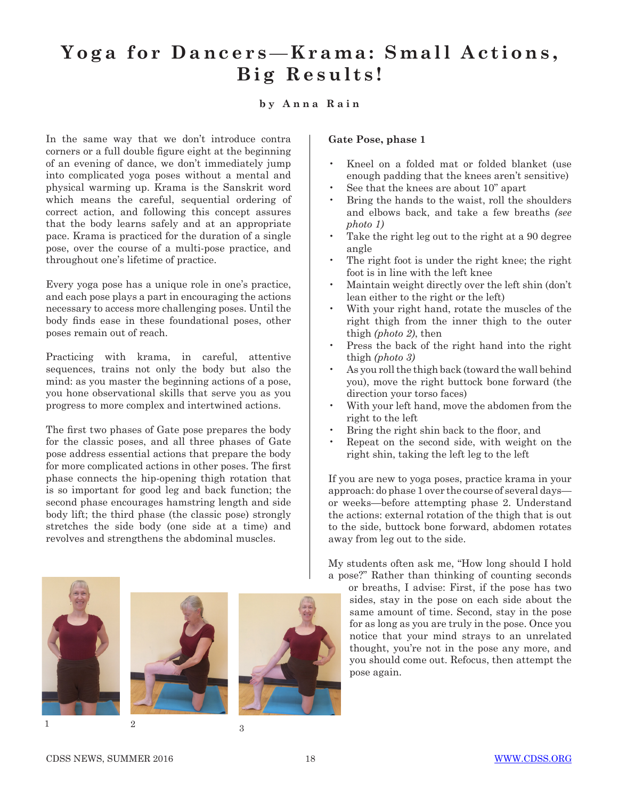# Yoga for Dancers-Krama: Small Actions, **Big Results!**

## **by Anna Rain**

In the same way that we don't introduce contra corners or a full double figure eight at the beginning of an evening of dance, we don't immediately jump into complicated yoga poses without a mental and physical warming up. Krama is the Sanskrit word which means the careful, sequential ordering of correct action, and following this concept assures that the body learns safely and at an appropriate pace. Krama is practiced for the duration of a single pose, over the course of a multi-pose practice, and throughout one's lifetime of practice.

Every yoga pose has a unique role in one's practice, and each pose plays a part in encouraging the actions necessary to access more challenging poses. Until the body finds ease in these foundational poses, other poses remain out of reach.

Practicing with krama, in careful, attentive sequences, trains not only the body but also the mind: as you master the beginning actions of a pose, you hone observational skills that serve you as you progress to more complex and intertwined actions.

The first two phases of Gate pose prepares the body for the classic poses, and all three phases of Gate pose address essential actions that prepare the body for more complicated actions in other poses. The first phase connects the hip-opening thigh rotation that is so important for good leg and back function; the second phase encourages hamstring length and side body lift; the third phase (the classic pose) strongly stretches the side body (one side at a time) and revolves and strengthens the abdominal muscles.







#### **Gate Pose, phase 1**

- Kneel on a folded mat or folded blanket (use enough padding that the knees aren't sensitive)
- See that the knees are about 10" apart
- Bring the hands to the waist, roll the shoulders and elbows back, and take a few breaths *(see photo 1)*
- Take the right leg out to the right at a 90 degree angle
- The right foot is under the right knee; the right foot is in line with the left knee
- Maintain weight directly over the left shin (don't lean either to the right or the left)
- With your right hand, rotate the muscles of the right thigh from the inner thigh to the outer thigh *(photo 2)*, then
- Press the back of the right hand into the right thigh *(photo 3)*
- As you roll the thigh back (toward the wall behind you), move the right buttock bone forward (the direction your torso faces)
- With your left hand, move the abdomen from the right to the left
- Bring the right shin back to the floor, and
- Repeat on the second side, with weight on the right shin, taking the left leg to the left

If you are new to yoga poses, practice krama in your approach: do phase 1 over the course of several days or weeks—before attempting phase 2. Understand the actions: external rotation of the thigh that is out to the side, buttock bone forward, abdomen rotates away from leg out to the side.

My students often ask me, "How long should I hold a pose?" Rather than thinking of counting seconds

or breaths, I advise: First, if the pose has two sides, stay in the pose on each side about the same amount of time. Second, stay in the pose for as long as you are truly in the pose. Once you notice that your mind strays to an unrelated thought, you're not in the pose any more, and you should come out. Refocus, then attempt the pose again.